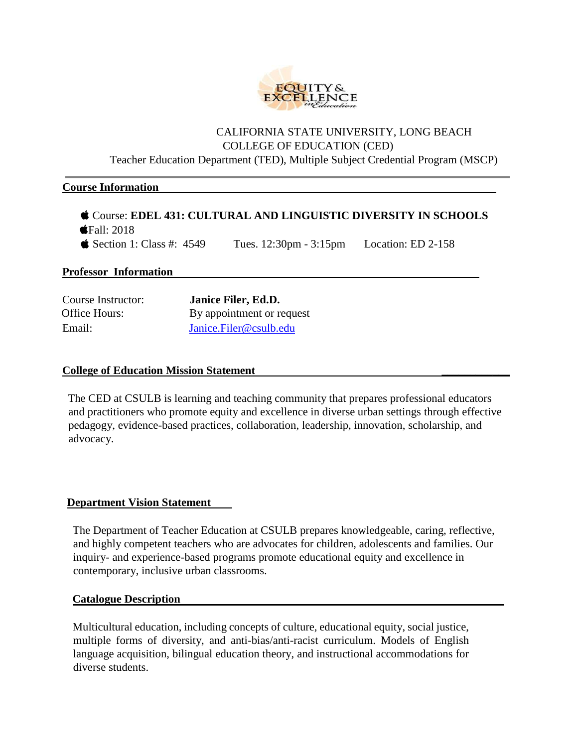

# CALIFORNIA STATE UNIVERSITY, LONG BEACH COLLEGE OF EDUCATION (CED)

Teacher Education Department (TED), Multiple Subject Credential Program (MSCP)

#### **Course Information**

| Course: EDEL 431: CULTURAL AND LINGUISTIC DIVERSITY IN SCHOOLS |                                                             |  |
|----------------------------------------------------------------|-------------------------------------------------------------|--|
| $\bullet$ Fall: 2018                                           |                                                             |  |
| $\bullet$ Section 1: Class #: 4549                             | Tues. $12:30 \text{pm} - 3:15 \text{pm}$ Location: ED 2-158 |  |

## **Professor Information**

| Course Instructor: | Janice Filer, Ed.D.       |
|--------------------|---------------------------|
| Office Hours:      | By appointment or request |
| Email:             | Janice.Filer@csulb.edu    |

## **College of Education Mission Statement \_\_\_\_\_\_\_\_\_\_\_\_**

The CED at CSULB is learning and teaching community that prepares professional educators and practitioners who promote equity and excellence in diverse urban settings through effective pedagogy, evidence-based practices, collaboration, leadership, innovation, scholarship, and advocacy.

#### **Department Vision Statement**

The Department of Teacher Education at CSULB prepares knowledgeable, caring, reflective, and highly competent teachers who are advocates for children, adolescents and families. Our inquiry- and experience-based programs promote educational equity and excellence in contemporary, inclusive urban classrooms.

#### **Catalogue Description**

Multicultural education, including concepts of culture, educational equity, social justice, multiple forms of diversity, and anti-bias/anti-racist curriculum. Models of English language acquisition, bilingual education theory, and instructional accommodations for diverse students.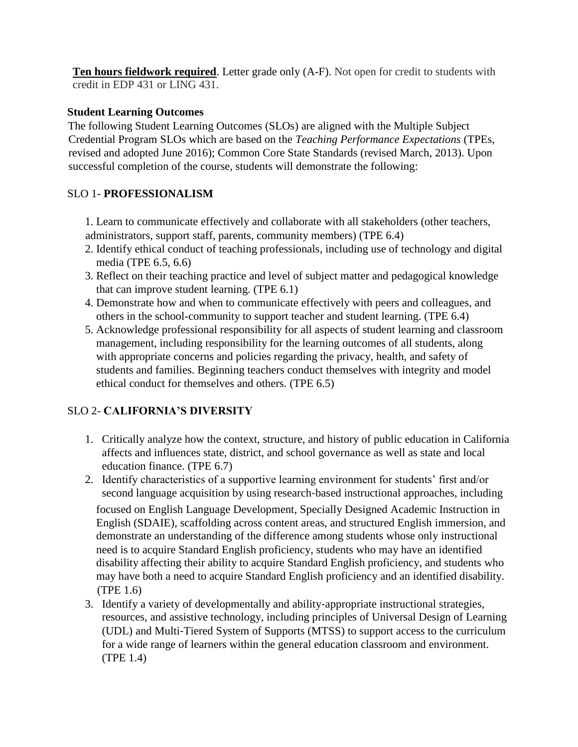**Ten hours fieldwork required.** Letter grade only (A-F). Not open for credit to students with credit in EDP 431 or LING 431.

# **Student Learning Outcomes**

The following Student Learning Outcomes (SLOs) are aligned with the Multiple Subject Credential Program SLOs which are based on the *Teaching Performance Expectations* (TPEs, revised and adopted June 2016); Common Core State Standards (revised March, 2013). Upon successful completion of the course, students will demonstrate the following:

# SLO 1- **PROFESSIONALISM**

1. Learn to communicate effectively and collaborate with all stakeholders (other teachers, administrators, support staff, parents, community members) (TPE 6.4)

- 2. Identify ethical conduct of teaching professionals, including use of technology and digital media (TPE 6.5, 6.6)
- 3. Reflect on their teaching practice and level of subject matter and pedagogical knowledge that can improve student learning. (TPE 6.1)
- 4. Demonstrate how and when to communicate effectively with peers and colleagues, and others in the school-community to support teacher and student learning. (TPE 6.4)
- 5. Acknowledge professional responsibility for all aspects of student learning and classroom management, including responsibility for the learning outcomes of all students, along with appropriate concerns and policies regarding the privacy, health, and safety of students and families. Beginning teachers conduct themselves with integrity and model ethical conduct for themselves and others. (TPE 6.5)

# SLO 2- **CALIFORNIA'S DIVERSITY**

- 1. Critically analyze how the context, structure, and history of public education in California affects and influences state, district, and school governance as well as state and local education finance. (TPE 6.7)
- 2. Identify characteristics of a supportive learning environment for students' first and/or second language acquisition by using research-based instructional approaches, including focused on English Language Development, Specially Designed Academic Instruction in English (SDAIE), scaffolding across content areas, and structured English immersion, and demonstrate an understanding of the difference among students whose only instructional need is to acquire Standard English proficiency, students who may have an identified disability affecting their ability to acquire Standard English proficiency, and students who may have both a need to acquire Standard English proficiency and an identified disability. (TPE 1.6)
- 3. Identify a variety of developmentally and ability‐appropriate instructional strategies, resources, and assistive technology, including principles of Universal Design of Learning (UDL) and Multi‐Tiered System of Supports (MTSS) to support access to the curriculum for a wide range of learners within the general education classroom and environment. (TPE 1.4)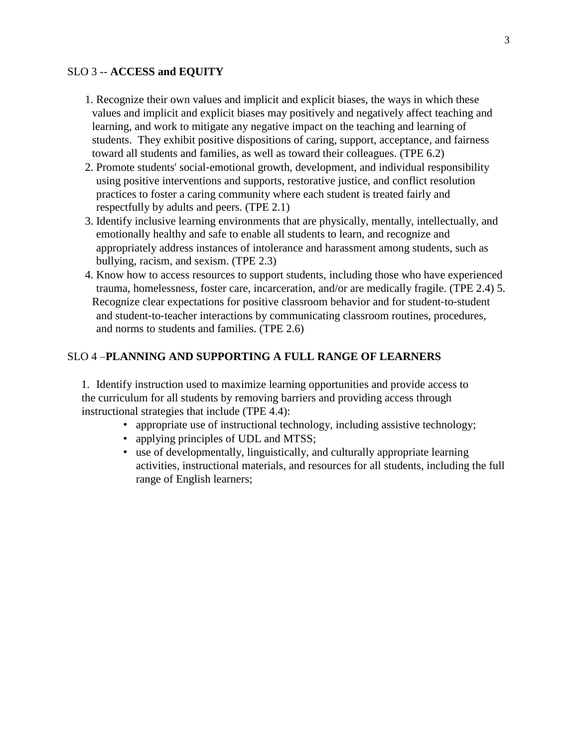## SLO 3 -- **ACCESS and EQUITY**

- 1. Recognize their own values and implicit and explicit biases, the ways in which these values and implicit and explicit biases may positively and negatively affect teaching and learning, and work to mitigate any negative impact on the teaching and learning of students. They exhibit positive dispositions of caring, support, acceptance, and fairness toward all students and families, as well as toward their colleagues. (TPE 6.2)
- 2. Promote students' social‐emotional growth, development, and individual responsibility using positive interventions and supports, restorative justice, and conflict resolution practices to foster a caring community where each student is treated fairly and respectfully by adults and peers. (TPE 2.1)
- 3. Identify inclusive learning environments that are physically, mentally, intellectually, and emotionally healthy and safe to enable all students to learn, and recognize and appropriately address instances of intolerance and harassment among students, such as bullying, racism, and sexism. (TPE 2.3)
- 4. Know how to access resources to support students, including those who have experienced trauma, homelessness, foster care, incarceration, and/or are medically fragile. (TPE 2.4) 5. Recognize clear expectations for positive classroom behavior and for student-to-student and student‐to‐teacher interactions by communicating classroom routines, procedures, and norms to students and families. (TPE 2.6)

#### SLO 4 –**PLANNING AND SUPPORTING A FULL RANGE OF LEARNERS**

1. Identify instruction used to maximize learning opportunities and provide access to the curriculum for all students by removing barriers and providing access through instructional strategies that include (TPE 4.4):

- appropriate use of instructional technology, including assistive technology;
- applying principles of UDL and MTSS;
- use of developmentally, linguistically, and culturally appropriate learning activities, instructional materials, and resources for all students, including the full range of English learners;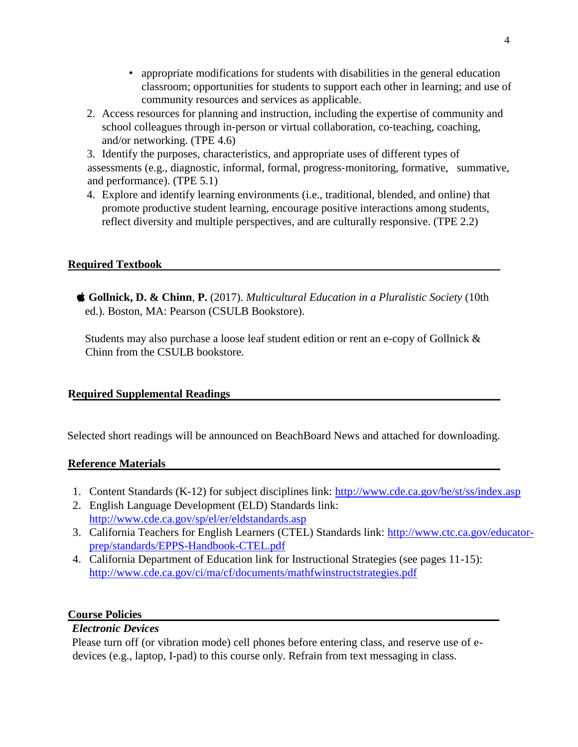- appropriate modifications for students with disabilities in the general education classroom; opportunities for students to support each other in learning; and use of community resources and services as applicable.
- 2. Access resources for planning and instruction, including the expertise of community and school colleagues through in-person or virtual collaboration, co-teaching, coaching, and/or networking. (TPE 4.6)

3. Identify the purposes, characteristics, and appropriate uses of different types of assessments (e.g., diagnostic, informal, formal, progress‐monitoring, formative, summative, and performance). (TPE 5.1)

4. Explore and identify learning environments (i.e., traditional, blended, and online) that promote productive student learning, encourage positive interactions among students, reflect diversity and multiple perspectives, and are culturally responsive. (TPE 2.2)

# **Required Textbook**

**Gollnick, D. & Chinn**, **P.** (2017). *Multicultural Education in a Pluralistic Society* (10th ed.). Boston, MA: Pearson (CSULB Bookstore).

Students may also purchase a loose leaf student edition or rent an e-copy of Gollnick  $\&$ Chinn from the CSULB bookstore.

# **Required Supplemental Readings**

Selected short readings will be announced on BeachBoard News and attached for downloading.

# **Reference Materials**

- 1. Content Standards (K-12) for subject disciplines link:<http://www.cde.ca.gov/be/st/ss/index.asp>
- 2. English Language Development (ELD) Standards link: <http://www.cde.ca.gov/sp/el/er/eldstandards.asp>
- 3. California Teachers for English Learners (CTEL) Standards link: [http://www.ctc.ca.gov/educator](http://www.ctc.ca.gov/educator-prep/standards/EPPS-Handbook-CTEL.pdf)[prep/standards/EPPS-Handbook-CTEL.pdf](http://www.ctc.ca.gov/educator-prep/standards/EPPS-Handbook-CTEL.pdf)
- 4. California Department of Education link for Instructional Strategies (see pages 11-15): <http://www.cde.ca.gov/ci/ma/cf/documents/mathfwinstructstrategies.pdf>

# **Course Policies**

# *Electronic Devices*

Please turn off (or vibration mode) cell phones before entering class, and reserve use of edevices (e.g., laptop, I-pad) to this course only. Refrain from text messaging in class.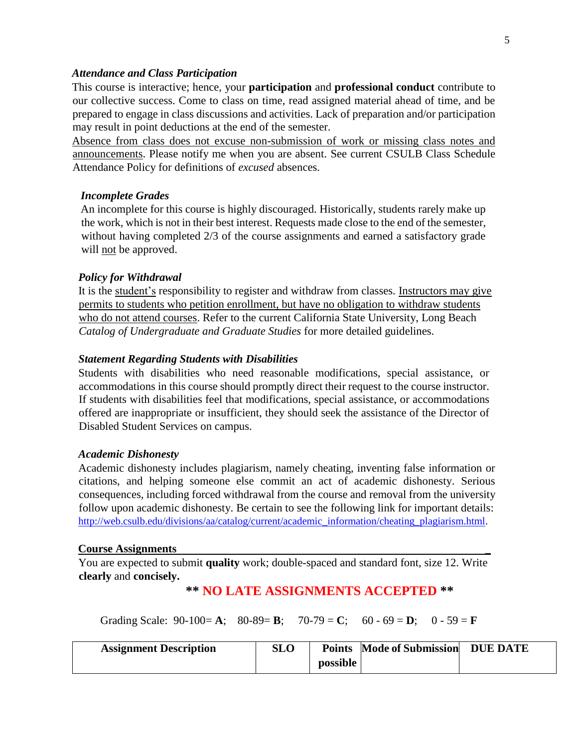#### *Attendance and Class Participation*

This course is interactive; hence, your **participation** and **professional conduct** contribute to our collective success. Come to class on time, read assigned material ahead of time, and be prepared to engage in class discussions and activities. Lack of preparation and/or participation may result in point deductions at the end of the semester.

Absence from class does not excuse non-submission of work or missing class notes and announcements. Please notify me when you are absent. See current CSULB Class Schedule Attendance Policy for definitions of *excused* absences.

#### *Incomplete Grades*

An incomplete for this course is highly discouraged. Historically, students rarely make up the work, which is not in their best interest. Requests made close to the end of the semester, without having completed 2/3 of the course assignments and earned a satisfactory grade will not be approved.

#### *Policy for Withdrawal*

It is the student's responsibility to register and withdraw from classes. Instructors may give permits to students who petition enrollment, but have no obligation to withdraw students who do not attend courses. Refer to the current California State University, Long Beach *Catalog of Undergraduate and Graduate Studies* for more detailed guidelines.

#### *Statement Regarding Students with Disabilities*

Students with disabilities who need reasonable modifications, special assistance, or accommodations in this course should promptly direct their request to the course instructor. If students with disabilities feel that modifications, special assistance, or accommodations offered are inappropriate or insufficient, they should seek the assistance of the Director of Disabled Student Services on campus.

#### *Academic Dishonesty*

Academic dishonesty includes plagiarism, namely cheating, inventing false information or citations, and helping someone else commit an act of academic dishonesty. Serious consequences, including forced withdrawal from the course and removal from the university follow upon academic dishonesty. Be certain to see the following link for important details: [http://web.csulb.edu/divisions/aa/catalog/current/academic\\_information/cheating\\_plagiarism.html.](http://web.csulb.edu/divisions/aa/catalog/current/academic_information/cheating_plagiarism.html)

#### **Course Assignments** \_

You are expected to submit **quality** work; double-spaced and standard font, size 12. Write **clearly** and **concisely.**

# **\*\* NO LATE ASSIGNMENTS ACCEPTED \*\***

Grading Scale:  $90-100 = A$ ;  $80-89 = B$ ;  $70-79 = C$ ;  $60-69 = D$ ;  $0-59 = F$ 

| <b>Assignment Description</b> | <b>SLO</b> |          | <b>Points</b> Mode of Submission | <b>DUE DATE</b> |  |
|-------------------------------|------------|----------|----------------------------------|-----------------|--|
|                               |            | possible |                                  |                 |  |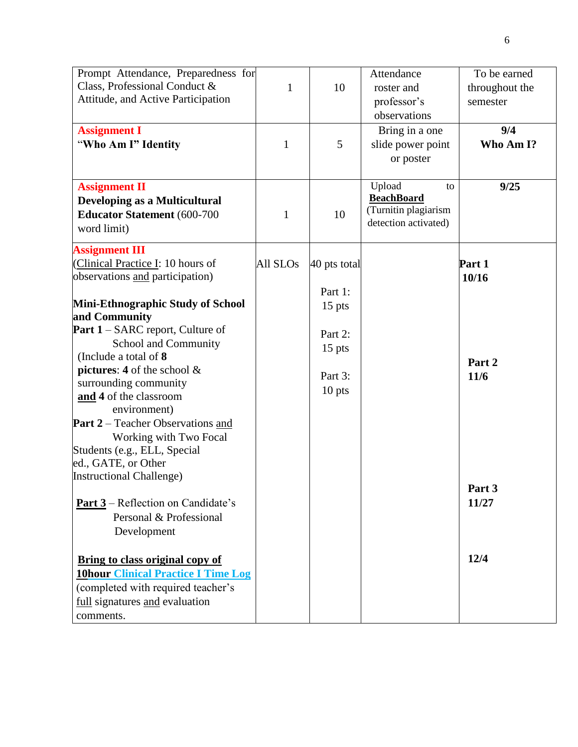| Prompt Attendance, Preparedness for                |                      |              | Attendance           | To be earned   |
|----------------------------------------------------|----------------------|--------------|----------------------|----------------|
| Class, Professional Conduct &                      | $\mathbf{1}$         | 10           | roster and           | throughout the |
| Attitude, and Active Participation                 |                      |              | professor's          | semester       |
|                                                    |                      |              | observations         |                |
| <b>Assignment I</b>                                |                      |              | Bring in a one       | 9/4            |
| "Who Am I" Identity                                | $\mathbf{1}$         | 5            | slide power point    | Who Am I?      |
|                                                    |                      |              | or poster            |                |
|                                                    |                      |              |                      |                |
| <b>Assignment II</b>                               |                      |              | Upload<br>to         | 9/25           |
| <b>Developing as a Multicultural</b>               |                      |              | <b>BeachBoard</b>    |                |
| <b>Educator Statement</b> (600-700                 | 1                    | 10           | (Turnitin plagiarism |                |
| word limit)                                        |                      |              | detection activated) |                |
|                                                    |                      |              |                      |                |
| <b>Assignment III</b>                              |                      |              |                      |                |
| (Clinical Practice I: 10 hours of                  | All SLO <sub>s</sub> | 40 pts total |                      | Part 1         |
| observations and participation)                    |                      |              |                      | 10/16          |
|                                                    |                      | Part 1:      |                      |                |
| Mini-Ethnographic Study of School<br>and Community |                      | $15$ pts     |                      |                |
| <b>Part 1</b> – SARC report, Culture of            |                      |              |                      |                |
| School and Community                               |                      | Part 2:      |                      |                |
| (Include a total of 8)                             |                      | $15$ pts     |                      |                |
| pictures: 4 of the school $\&$                     |                      |              |                      | Part 2         |
| surrounding community                              |                      | Part 3:      |                      | 11/6           |
| and 4 of the classroom                             |                      | $10$ pts     |                      |                |
| environment)                                       |                      |              |                      |                |
| <b>Part 2</b> – Teacher Observations and           |                      |              |                      |                |
| Working with Two Focal                             |                      |              |                      |                |
| Students (e.g., ELL, Special                       |                      |              |                      |                |
| ed., GATE, or Other                                |                      |              |                      |                |
| <b>Instructional Challenge)</b>                    |                      |              |                      |                |
|                                                    |                      |              |                      | Part 3         |
| <b>Part 3</b> – Reflection on Candidate's          |                      |              |                      | 11/27          |
| Personal & Professional                            |                      |              |                      |                |
| Development                                        |                      |              |                      |                |
|                                                    |                      |              |                      |                |
| <b>Bring to class original copy of</b>             |                      |              |                      | 12/4           |
| <b>10hour Clinical Practice I Time Log</b>         |                      |              |                      |                |
| (completed with required teacher's                 |                      |              |                      |                |
| full signatures and evaluation                     |                      |              |                      |                |
| comments.                                          |                      |              |                      |                |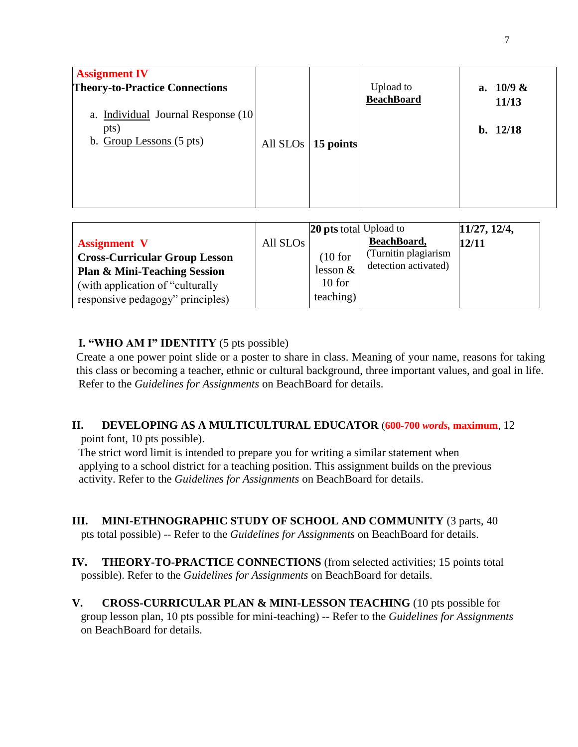| <b>Assignment IV</b><br><b>Theory-to-Practice Connections</b><br>a. Individual Journal Response (10)<br>pts)<br>b. Group Lessons (5 pts) | All $SLOs$   15 points | <b>Upload</b> to<br><b>BeachBoard</b> | a. $10/9 &$<br>11/13<br>b. $12/18$ |
|------------------------------------------------------------------------------------------------------------------------------------------|------------------------|---------------------------------------|------------------------------------|
|                                                                                                                                          |                        |                                       |                                    |

# **I. "WHO AM I" IDENTITY** (5 pts possible)

Create a one power point slide or a poster to share in class. Meaning of your name, reasons for taking this class or becoming a teacher, ethnic or cultural background, three important values, and goal in life. Refer to the *Guidelines for Assignments* on BeachBoard for details.

# **II. DEVELOPING AS A MULTICULTURAL EDUCATOR** (**600-700** *words,* **maximum**, 12 point font, 10 pts possible).

The strict word limit is intended to prepare you for writing a similar statement when applying to a school district for a teaching position. This assignment builds on the previous activity. Refer to the *Guidelines for Assignments* on BeachBoard for details.

- **III. MINI-ETHNOGRAPHIC STUDY OF SCHOOL AND COMMUNITY** (3 parts, 40 pts total possible) -- Refer to the *Guidelines for Assignments* on BeachBoard for details.
- **IV. THEORY-TO-PRACTICE CONNECTIONS** (from selected activities; 15 points total possible). Refer to the *Guidelines for Assignments* on BeachBoard for details.
- **V. CROSS-CURRICULAR PLAN & MINI-LESSON TEACHING** (10 pts possible for group lesson plan, 10 pts possible for mini-teaching) -- Refer to the *Guidelines for Assignments*  on BeachBoard for details.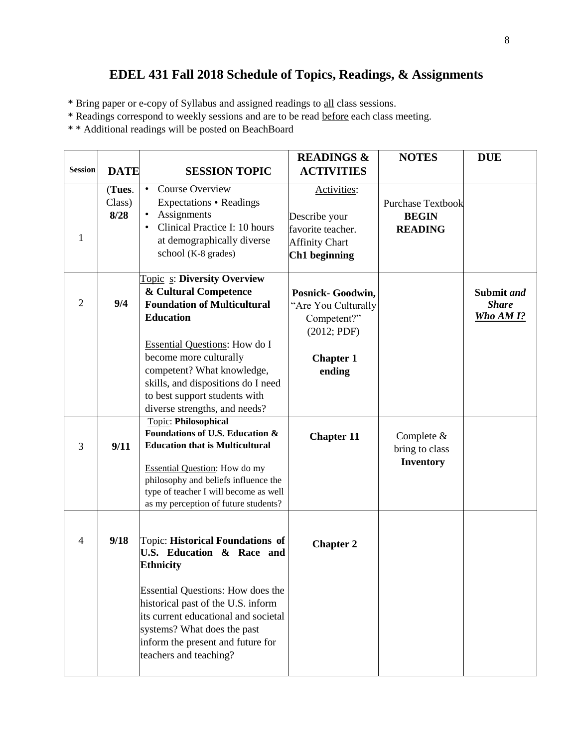# **EDEL 431 Fall 2018 Schedule of Topics, Readings, & Assignments**

\* Bring paper or e-copy of Syllabus and assigned readings to all class sessions.

- \* Readings correspond to weekly sessions and are to be read before each class meeting.
- \* \* Additional readings will be posted on BeachBoard

| <b>Session</b> | <b>DATE</b>              | <b>SESSION TOPIC</b>                                                                                                                                                                                                                                                                                                          | <b>READINGS &amp;</b><br><b>ACTIVITIES</b>                                                           | <b>NOTES</b>                                               | <b>DUE</b>                              |
|----------------|--------------------------|-------------------------------------------------------------------------------------------------------------------------------------------------------------------------------------------------------------------------------------------------------------------------------------------------------------------------------|------------------------------------------------------------------------------------------------------|------------------------------------------------------------|-----------------------------------------|
| 1              | (Tues.<br>Class)<br>8/28 | <b>Course Overview</b><br>Expectations • Readings<br>Assignments<br>$\bullet$<br>Clinical Practice I: 10 hours<br>at demographically diverse<br>school (K-8 grades)                                                                                                                                                           | Activities:<br>Describe your<br>favorite teacher.<br><b>Affinity Chart</b><br>Ch1 beginning          | <b>Purchase Textbook</b><br><b>BEGIN</b><br><b>READING</b> |                                         |
| $\overline{2}$ | 9/4                      | <b>Topic s: Diversity Overview</b><br>& Cultural Competence<br><b>Foundation of Multicultural</b><br><b>Education</b><br><b>Essential Questions:</b> How do I<br>become more culturally<br>competent? What knowledge,<br>skills, and dispositions do I need<br>to best support students with<br>diverse strengths, and needs? | Posnick- Goodwin,<br>"Are You Culturally<br>Competent?"<br>(2012; PDF)<br><b>Chapter 1</b><br>ending |                                                            | Submit and<br><b>Share</b><br>Who AM 1? |
| 3              | 9/11                     | Topic: Philosophical<br>Foundations of U.S. Education &<br><b>Education that is Multicultural</b><br><b>Essential Question:</b> How do my<br>philosophy and beliefs influence the<br>type of teacher I will become as well<br>as my perception of future students?                                                            | <b>Chapter 11</b>                                                                                    | Complete $&$<br>bring to class<br><b>Inventory</b>         |                                         |
| 4              | 9/18                     | Topic: Historical Foundations of<br>U.S. Education & Race and<br><b>Ethnicity</b><br><b>Essential Questions: How does the</b><br>historical past of the U.S. inform<br>its current educational and societal<br>systems? What does the past<br>inform the present and future for<br>teachers and teaching?                     | <b>Chapter 2</b>                                                                                     |                                                            |                                         |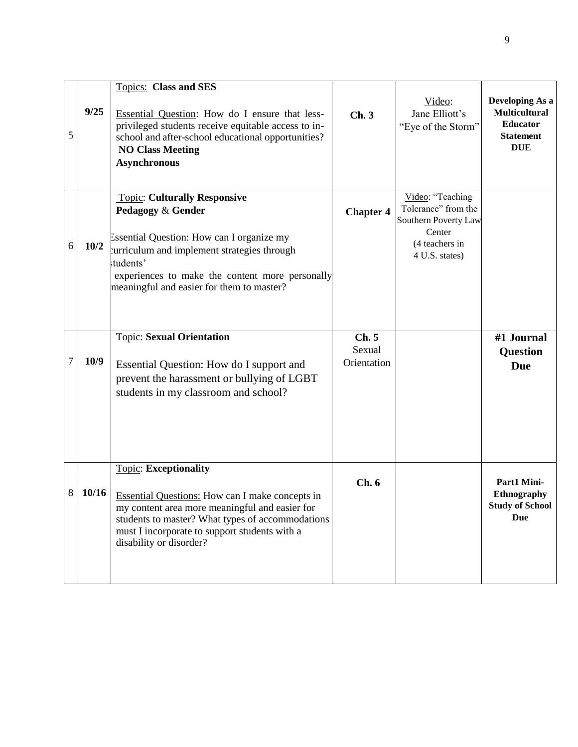| 5 | 9/25  | <b>Topics:</b> Class and SES<br>Essential Question: How do I ensure that less-<br>privileged students receive equitable access to in-<br>school and after-school educational opportunities?<br><b>NO Class Meeting</b><br><b>Asynchronous</b>                            | Ch.3                          | Video:<br>Jane Elliott's<br>"Eye of the Storm"                                                                | Developing As a<br><b>Multicultural</b><br><b>Educator</b><br><b>Statement</b><br><b>DUE</b> |
|---|-------|--------------------------------------------------------------------------------------------------------------------------------------------------------------------------------------------------------------------------------------------------------------------------|-------------------------------|---------------------------------------------------------------------------------------------------------------|----------------------------------------------------------------------------------------------|
| 6 | 10/2  | <b>Topic: Culturally Responsive</b><br>Pedagogy & Gender<br>Essential Question: How can I organize my<br>curriculum and implement strategies through<br>students'<br>experiences to make the content more personally<br>meaningful and easier for them to master?        | <b>Chapter 4</b>              | Video: "Teaching<br>Tolerance" from the<br>Southern Poverty Law<br>Center<br>(4 teachers in<br>4 U.S. states) |                                                                                              |
| 7 | 10/9  | <b>Topic: Sexual Orientation</b><br>Essential Question: How do I support and<br>prevent the harassment or bullying of LGBT<br>students in my classroom and school?                                                                                                       | Ch.5<br>Sexual<br>Orientation |                                                                                                               | #1 Journal<br><b>Question</b><br><b>Due</b>                                                  |
| 8 | 10/16 | <b>Topic: Exceptionality</b><br><b>Essential Questions:</b> How can I make concepts in<br>my content area more meaningful and easier for<br>students to master? What types of accommodations<br>must I incorporate to support students with a<br>disability or disorder? | Ch.6                          |                                                                                                               | Part1 Mini-<br><b>Ethnography</b><br><b>Study of School</b><br><b>Due</b>                    |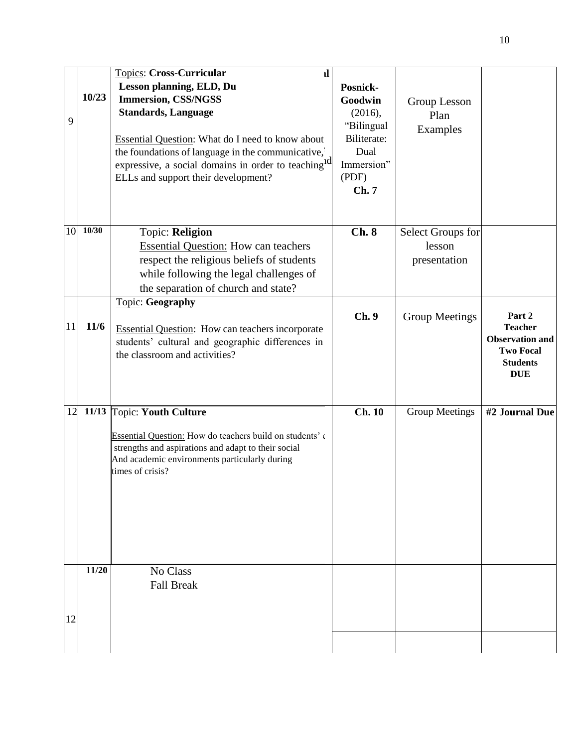| 9  | 10/23 | <b>Topics: Cross-Curricular</b><br>ıl<br>Lesson planning, ELD, Du<br><b>Immersion, CSS/NGSS</b><br><b>Standards, Language</b><br><b>Essential Question:</b> What do I need to know about<br>the foundations of language in the communicative,<br>expressive, a social domains in order to teaching <sup>1d</sup><br>ELLs and support their development? | Posnick-<br>Goodwin<br>(2016),<br>"Bilingual<br>Biliterate:<br>Dual<br>Immersion"<br>(PDF)<br>Ch.7 | Group Lesson<br>Plan<br>Examples            |                                                                                                         |
|----|-------|---------------------------------------------------------------------------------------------------------------------------------------------------------------------------------------------------------------------------------------------------------------------------------------------------------------------------------------------------------|----------------------------------------------------------------------------------------------------|---------------------------------------------|---------------------------------------------------------------------------------------------------------|
| 10 | 10/30 | Topic: Religion<br><b>Essential Question: How can teachers</b><br>respect the religious beliefs of students<br>while following the legal challenges of<br>the separation of church and state?                                                                                                                                                           | Ch.8                                                                                               | Select Groups for<br>lesson<br>presentation |                                                                                                         |
| 11 | 11/6  | <b>Topic: Geography</b><br><b>Essential Question:</b> How can teachers incorporate<br>students' cultural and geographic differences in<br>the classroom and activities?                                                                                                                                                                                 | Ch.9                                                                                               | <b>Group Meetings</b>                       | Part 2<br><b>Teacher</b><br><b>Observation and</b><br><b>Two Focal</b><br><b>Students</b><br><b>DUE</b> |
| 12 |       | 11/13 Topic: Youth Culture<br>Essential Question: How do teachers build on students' of<br>strengths and aspirations and adapt to their social<br>And academic environments particularly during<br>times of crisis?                                                                                                                                     | <b>Ch. 10</b>                                                                                      | <b>Group Meetings</b>                       | #2 Journal Due                                                                                          |
| 12 | 11/20 | No Class<br><b>Fall Break</b>                                                                                                                                                                                                                                                                                                                           |                                                                                                    |                                             |                                                                                                         |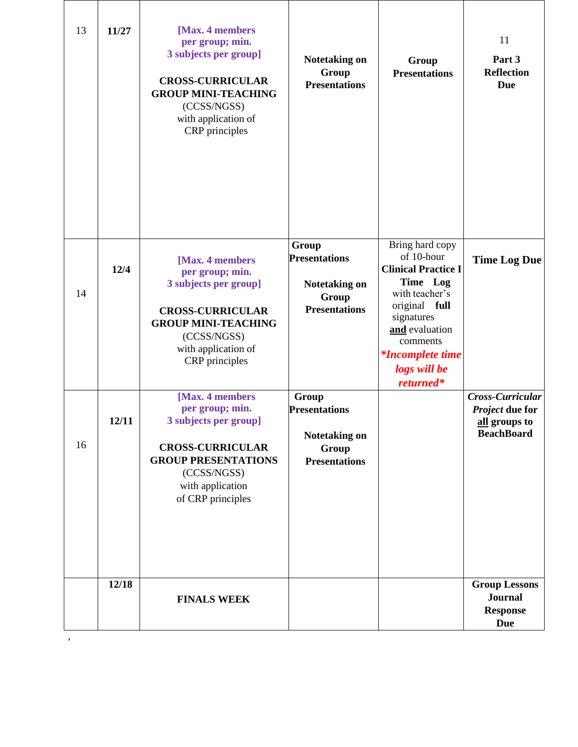| 13 | 11/27 | [Max. 4 members<br>per group; min.<br>3 subjects per group]<br><b>CROSS-CURRICULAR</b><br><b>GROUP MINI-TEACHING</b><br>(CCSS/NGSS)<br>with application of<br>CRP principles  | <b>Notetaking on</b><br>Group<br><b>Presentations</b>                                  | Group<br><b>Presentations</b>                                                                                                                                                                                  | 11<br>Part 3<br><b>Reflection</b><br><b>Due</b>                           |
|----|-------|-------------------------------------------------------------------------------------------------------------------------------------------------------------------------------|----------------------------------------------------------------------------------------|----------------------------------------------------------------------------------------------------------------------------------------------------------------------------------------------------------------|---------------------------------------------------------------------------|
| 14 | 12/4  | [Max. 4 members]<br>per group; min.<br>3 subjects per group]<br><b>CROSS-CURRICULAR</b><br><b>GROUP MINI-TEACHING</b><br>(CCSS/NGSS)<br>with application of<br>CRP principles | Group<br><b>Presentations</b><br><b>Notetaking on</b><br>Group<br><b>Presentations</b> | Bring hard copy<br>of 10-hour<br><b>Clinical Practice I</b><br>Time Log<br>with teacher's<br>original full<br>signatures<br>and evaluation<br>comments<br><i>*Incomplete time</i><br>logs will be<br>returned* | <b>Time Log Due</b>                                                       |
| 16 | 12/11 | [Max. 4 members<br>per group; min.<br>3 subjects per group]<br><b>CROSS-CURRICULAR</b><br><b>GROUP PRESENTATIONS</b><br>(CCSS/NGSS)<br>with application<br>of CRP principles  | Group<br><b>Presentations</b><br>Notetaking on<br>Group<br><b>Presentations</b>        |                                                                                                                                                                                                                | Cross-Curricular<br>Project due for<br>all groups to<br><b>BeachBoard</b> |
|    | 12/18 | <b>FINALS WEEK</b>                                                                                                                                                            |                                                                                        |                                                                                                                                                                                                                | <b>Group Lessons</b><br><b>Journal</b><br><b>Response</b><br><b>Due</b>   |

,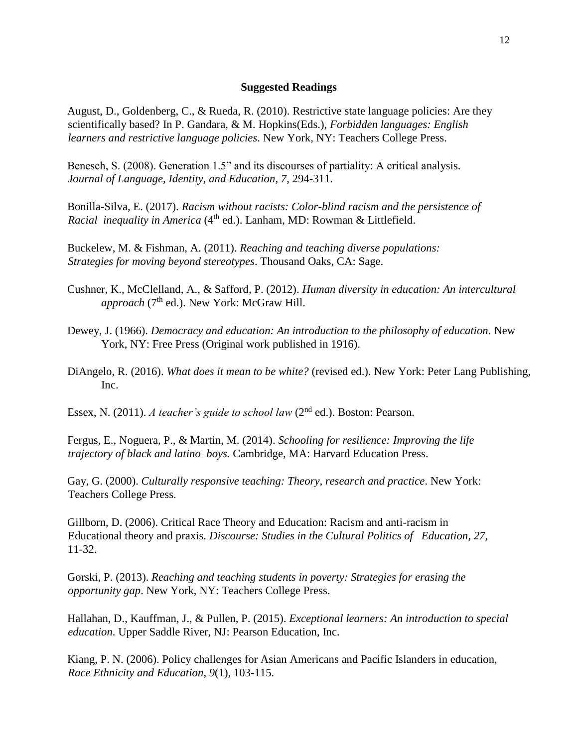#### **Suggested Readings**

August, D., Goldenberg, C., & Rueda, R. (2010). Restrictive state language policies: Are they scientifically based? In P. Gandara, & M. Hopkins(Eds.), *Forbidden languages: English learners and restrictive language policies*. New York, NY: Teachers College Press.

Benesch, S. (2008). Generation 1.5" and its discourses of partiality: A critical analysis. *Journal of Language, Identity, and Education*, *7*, 294-311.

Bonilla-Silva, E. (2017). *Racism without racists: Color-blind racism and the persistence of Racial inequality in America* (4<sup>th</sup> ed.). Lanham, MD: Rowman & Littlefield.

Buckelew, M. & Fishman, A. (2011). *Reaching and teaching diverse populations: Strategies for moving beyond stereotypes*. Thousand Oaks, CA: Sage.

- Cushner, K., McClelland, A., & Safford, P. (2012). *Human diversity in education: An intercultural approach* (7<sup>th</sup> ed.). New York: McGraw Hill.
- Dewey, J. (1966). *Democracy and education: An introduction to the philosophy of education*. New York, NY: Free Press (Original work published in 1916).
- DiAngelo, R. (2016). *What does it mean to be white?* (revised ed.). New York: Peter Lang Publishing, Inc.

Essex, N. (2011). *A teacher's guide to school law* (2nd ed.). Boston: Pearson.

Fergus, E., Noguera, P., & Martin, M. (2014). *Schooling for resilience: Improving the life trajectory of black and latino boys.* Cambridge, MA: Harvard Education Press.

Gay, G. (2000). *Culturally responsive teaching: Theory, research and practice*. New York: Teachers College Press.

Gillborn, D. (2006). Critical Race Theory and Education: Racism and anti-racism in Educational theory and praxis. *Discourse: Studies in the Cultural Politics of Education*, *27*, 11-32.

Gorski, P. (2013). *Reaching and teaching students in poverty: Strategies for erasing the opportunity gap*. New York, NY: Teachers College Press.

Hallahan, D., Kauffman, J., & Pullen, P. (2015). *Exceptional learners: An introduction to special education*. Upper Saddle River, NJ: Pearson Education, Inc.

Kiang, P. N. (2006). Policy challenges for Asian Americans and Pacific Islanders in education, *Race Ethnicity and Education*, *9*(1), 103-115.